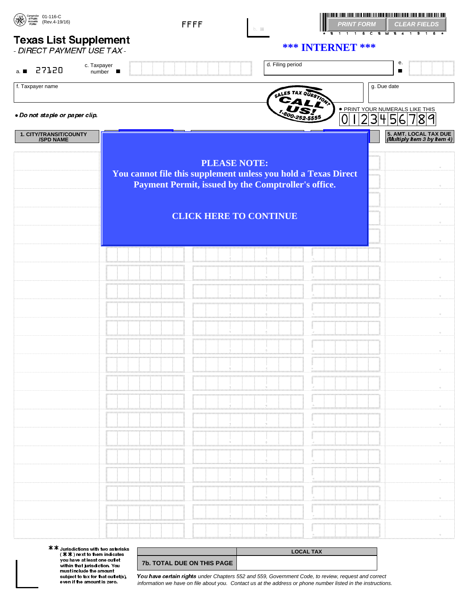| $\begin{array}{ll} \sqrt{\text{max}} & \text{Conputation} & 01-116-C \\ \hline \text{SRA} & \text{arccumts} & \text{(Rev.4-19/16)} \\ \text{ARA} & \text{FORM} & \text{(Rev.4-19/16)} \\ \end{array}$ |                         | <b>FFFF</b><br>D. M.                                           |                     | PRINT FORM CLEAR FIELDS                                                 |                                                      |
|-------------------------------------------------------------------------------------------------------------------------------------------------------------------------------------------------------|-------------------------|----------------------------------------------------------------|---------------------|-------------------------------------------------------------------------|------------------------------------------------------|
| <b>Texas List Supplement</b>                                                                                                                                                                          |                         |                                                                |                     | 1116 C & W & 4 1 9 1 6 *<br>$\boldsymbol{B}$<br><b>*** INTERNET ***</b> |                                                      |
| - DIRECT PAYMENT USE TAX -                                                                                                                                                                            |                         |                                                                |                     |                                                                         |                                                      |
| c. Taxpayer<br>27120<br>a.                                                                                                                                                                            | $number$ $\blacksquare$ |                                                                | d. Filing period    |                                                                         | е.<br>$\blacksquare$                                 |
| f. Taxpayer name                                                                                                                                                                                      |                         |                                                                | SALES TAX QUESTIONS | g. Due date                                                             |                                                      |
|                                                                                                                                                                                                       |                         |                                                                | CALL                | · PRINT YOUR NUMERALS LIKE THIS                                         |                                                      |
| . Do not staple or paper clip.                                                                                                                                                                        |                         |                                                                |                     | 23456<br> 0                                                             | 71819                                                |
| 1. CITY/TRANSIT/COUNTY<br><b>/SPD NAME</b>                                                                                                                                                            |                         |                                                                |                     |                                                                         | 5. AMT. LOCAL TAX DUE<br>(Multiply Item 3 by Item 4) |
|                                                                                                                                                                                                       |                         | <b>PLEASE NOTE:</b>                                            |                     |                                                                         |                                                      |
|                                                                                                                                                                                                       |                         | You cannot file this supplement unless you hold a Texas Direct |                     |                                                                         |                                                      |
|                                                                                                                                                                                                       |                         | Payment Permit, issued by the Comptroller's office.            |                     |                                                                         | $\infty$                                             |
|                                                                                                                                                                                                       |                         |                                                                |                     |                                                                         | $\sim$                                               |
|                                                                                                                                                                                                       |                         | <b>CLICK HERE TO CONTINUE</b>                                  |                     |                                                                         |                                                      |
|                                                                                                                                                                                                       |                         |                                                                |                     |                                                                         | $\ll$                                                |
|                                                                                                                                                                                                       |                         |                                                                |                     |                                                                         | $\ll$                                                |
|                                                                                                                                                                                                       |                         |                                                                |                     |                                                                         | $\ll$                                                |
|                                                                                                                                                                                                       |                         |                                                                |                     |                                                                         | $\ll$                                                |
|                                                                                                                                                                                                       |                         |                                                                |                     |                                                                         | $\ll$                                                |
|                                                                                                                                                                                                       |                         |                                                                |                     |                                                                         | $\ll$                                                |
|                                                                                                                                                                                                       |                         |                                                                |                     |                                                                         | $\ll$                                                |
|                                                                                                                                                                                                       |                         |                                                                |                     |                                                                         |                                                      |
|                                                                                                                                                                                                       |                         |                                                                |                     |                                                                         | $\ll$                                                |
|                                                                                                                                                                                                       |                         |                                                                |                     |                                                                         | $\sim$                                               |
|                                                                                                                                                                                                       |                         |                                                                |                     |                                                                         | $\sim$                                               |
|                                                                                                                                                                                                       |                         |                                                                |                     |                                                                         | $\sim$                                               |
|                                                                                                                                                                                                       |                         |                                                                |                     |                                                                         | $\sim$                                               |
|                                                                                                                                                                                                       |                         |                                                                |                     |                                                                         | $\sim$                                               |
|                                                                                                                                                                                                       |                         |                                                                |                     |                                                                         |                                                      |
|                                                                                                                                                                                                       |                         |                                                                |                     |                                                                         | $\sim$                                               |
|                                                                                                                                                                                                       |                         |                                                                |                     |                                                                         | $\sim$                                               |
|                                                                                                                                                                                                       |                         |                                                                |                     |                                                                         | $\sim$                                               |
|                                                                                                                                                                                                       |                         |                                                                |                     |                                                                         | $\sim$                                               |
|                                                                                                                                                                                                       |                         |                                                                | ł.                  |                                                                         |                                                      |
|                                                                                                                                                                                                       |                         |                                                                |                     |                                                                         | $\sim 10^{-1}$                                       |

**\*\*** Jurisdictions with two asterisks<br>  $(\mathbf{\mathbf{X}}\mathbf{\mathbf{\mathbf{\mathbf{\mathbf{\mathbf{X}}}}})$  next to them indicates<br>
you have at least one outlet<br>
within that jurisdiction. You<br>
must include the amount<br>
subject to tax for that outlet(s),<br>
y

**7b. TOTAL DUE ON THIS PAGE** You have certain rights under Chapters 552 and 559, Government Code, to review, request and correct information we have on file about you. Contact us at the address or phone number listed in the instructions.

**LOCAL TAX**